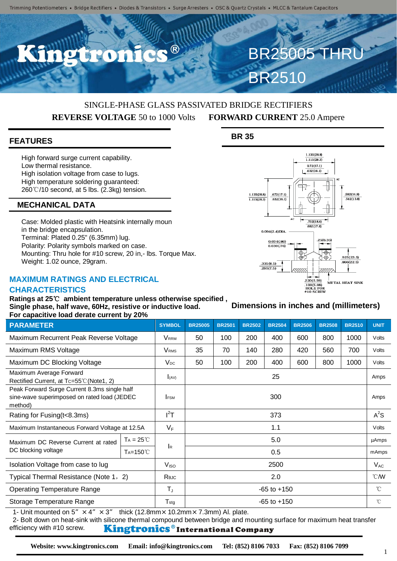## SINGLE-PHASE GLASS PASSIVATED BRIDGE RECTIFIERS **REVERSE VOLTAGE** 50 to 1000 Volts **FORWARD CURRENT** 25.0 Ampere

## **FEATURES**

High forward surge current capability. Low thermal resistance. High isolation voltage from case to lugs. High temperature soldering guaranteed: 260℃/10 second, at 5 lbs. (2.3kg) tension.

## **MECHANICAL DATA**

Case: Molded plastic with Heatsink internally moun in the bridge encapsulation. Terminal: Plated 0.25" (6.35mm) lug. Polarity: Polarity symbols marked on case. Mounting: Thru hole for #10 screw, 20 in,- lbs. Torque Max. Weight: 1.02 ounce, 29gram.

## **MAXIMUM RATINGS AND ELECTRICAL**

### **CHARACTERISTICS**

**Ratings at 25**℃ **ambient temperature unless otherwise specified , Single phase, half wave, 60Hz, resistive or inductive load. For capacitive load derate current by 20%**

| <b>PARAMETER</b>                                                                                        |                    | <b>SYMBOL</b>           | <b>BR25005</b>  | <b>BR2501</b> | <b>BR2502</b> | <b>BR2504</b> | <b>BR2506</b> | <b>BR2508</b> | <b>BR2510</b> | <b>UNIT</b>  |
|---------------------------------------------------------------------------------------------------------|--------------------|-------------------------|-----------------|---------------|---------------|---------------|---------------|---------------|---------------|--------------|
| Maximum Recurrent Peak Reverse Voltage                                                                  |                    | Vrrm                    | 50              | 100           | 200           | 400           | 600           | 800           | 1000          | Volts        |
| Maximum RMS Voltage                                                                                     |                    | <b>V</b> <sub>RMS</sub> | 35              | 70            | 140           | 280           | 420           | 560           | 700           | Volts        |
| Maximum DC Blocking Voltage                                                                             |                    | $V_{DC}$                | 50              | 100           | 200           | 400           | 600           | 800           | 1000          | Volts        |
| Maximum Average Forward<br>Rectified Current, at Tc=55℃ (Note1, 2)                                      |                    | I(AV)                   | 25              |               |               |               |               |               |               | Amps         |
| Peak Forward Surge Current 8.3ms single half<br>sine-wave superimposed on rated load (JEDEC)<br>method) |                    | <b>IFSM</b>             | 300             |               |               |               |               |               |               | Amps         |
| Rating for Fusing (t<8.3ms)                                                                             |                    | $I^2T$                  | 373             |               |               |               |               |               |               | $A^2S$       |
| Maximum Instantaneous Forward Voltage at 12.5A                                                          |                    | $V_F$                   | 1.1             |               |               |               |               |               |               | Volts        |
| Maximum DC Reverse Current at rated<br>DC blocking voltage                                              | $Ta = 25^{\circ}C$ | <b>I</b> R              | 5.0             |               |               |               |               |               |               | uAmps        |
|                                                                                                         | $Ta=150^{\circ}C$  |                         | 0.5             |               |               |               |               |               |               | mAmps        |
| Isolation Voltage from case to lug                                                                      |                    | V <sub>ISO</sub>        | 2500            |               |               |               |               |               |               | $V_{AC}$     |
| Typical Thermal Resistance (Note 1, 2)                                                                  |                    | Rejc                    | 2.0             |               |               |               |               |               |               | °CM          |
| <b>Operating Temperature Range</b>                                                                      |                    | $T_{J}$                 | $-65$ to $+150$ |               |               |               |               |               |               | $^{\circ}$ C |
| Storage Temperature Range                                                                               |                    | $T_{\text{stg}}$        | $-65$ to $+150$ |               |               |               |               |               |               | °C           |

1- Unit mounted on  $5'' \times 4'' \times 3''$  thick (12.8mm × 10.2mm × 7.3mm) Al. plate.

2- Bolt down on heat-sink with silicone thermal compound between bridge and mounting surface for maximum heat transfer efficiency with #10 screw. Kingtronics®International Company

## **Dimensions in inches and (millimeters)**

 $.220(5.59)$ 

 $\frac{100(5.08)}{100(5.08)}$ <br> $\#10$  SCREW

METAL HEAT SINK

#### $0.72(17.1)$  $.632(16.1)$  $1.135(28.8)$  $.672(17.1)$  $.582(14.8)$  $1.115(28.3)$  $.632(16.1)$  $.542(13.8)$  $.732(18.6)$  $.692(17.6)$  $0.094(2.4)$ DIA .25(6.35)  $0.034(.86)$  $0.030(0.76)$  $\Phi$ φ5  $925(23.5)$  $.335(8.5)$ 866(22.5)  $.295(7.5)$

1.135(28.8)  $\frac{1}{1.115(28.3)}$ 

**BR25005 TH** 

BR2510

**BR 35**

**Website: www.kingtronics.com Email: info@kingtronics.com Tel: (852) 8106 7033 Fax: (852) 8106 7099**

1